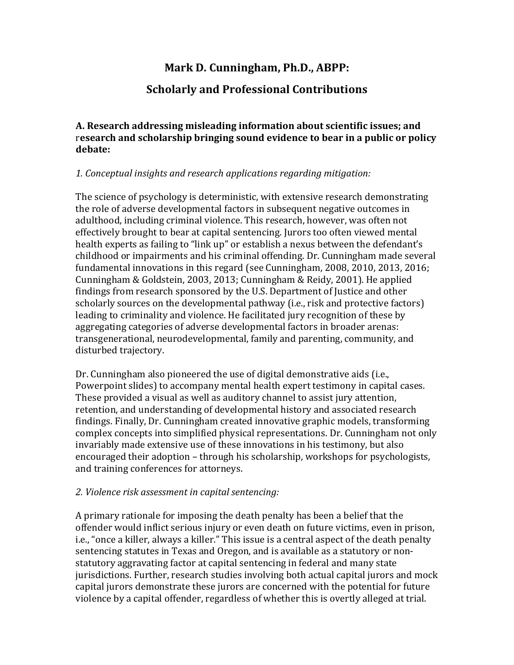# **Mark D. Cunningham, Ph.D., ABPP:**

## **Scholarly and Professional Contributions**

**A. Research addressing misleading information about scientific issues; and** research and scholarship bringing sound evidence to bear in a public or policy **debate:**

## *1. Conceptual insights and research applications regarding mitigation:*

The science of psychology is deterministic, with extensive research demonstrating the role of adverse developmental factors in subsequent negative outcomes in adulthood, including criminal violence. This research, however, was often not effectively brought to bear at capital sentencing. Jurors too often viewed mental health experts as failing to "link up" or establish a nexus between the defendant's childhood or impairments and his criminal offending. Dr. Cunningham made several fundamental innovations in this regard (see Cunningham, 2008, 2010, 2013, 2016; Cunningham & Goldstein, 2003, 2013; Cunningham & Reidy, 2001). He applied findings from research sponsored by the U.S. Department of Justice and other scholarly sources on the developmental pathway (i.e., risk and protective factors) leading to criminality and violence. He facilitated jury recognition of these by aggregating categories of adverse developmental factors in broader arenas: transgenerational, neurodevelopmental, family and parenting, community, and disturbed trajectory.

Dr. Cunningham also pioneered the use of digital demonstrative aids (i.e., Powerpoint slides) to accompany mental health expert testimony in capital cases. These provided a visual as well as auditory channel to assist jury attention, retention, and understanding of developmental history and associated research findings. Finally, Dr. Cunningham created innovative graphic models, transforming complex concepts into simplified physical representations. Dr. Cunningham not only invariably made extensive use of these innovations in his testimony, but also encouraged their adoption – through his scholarship, workshops for psychologists, and training conferences for attorneys.

#### *2. Violence risk assessment in capital sentencing:*

A primary rationale for imposing the death penalty has been a belief that the offender would inflict serious injury or even death on future victims, even in prison, i.e., "once a killer, always a killer." This issue is a central aspect of the death penalty sentencing statutes in Texas and Oregon, and is available as a statutory or nonstatutory aggravating factor at capital sentencing in federal and many state jurisdictions. Further, research studies involving both actual capital jurors and mock capital jurors demonstrate these jurors are concerned with the potential for future violence by a capital offender, regardless of whether this is overtly alleged at trial.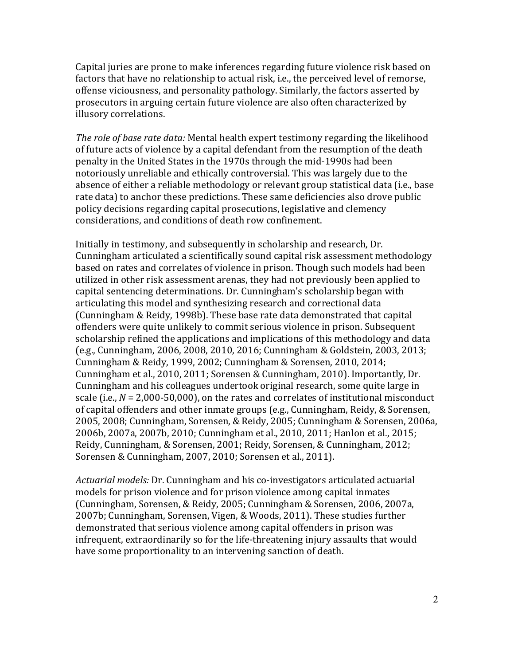Capital juries are prone to make inferences regarding future violence risk based on factors that have no relationship to actual risk, i.e., the perceived level of remorse, offense viciousness, and personality pathology. Similarly, the factors asserted by prosecutors in arguing certain future violence are also often characterized by illusory correlations.

*The role of base rate data:* Mental health expert testimony regarding the likelihood of future acts of violence by a capital defendant from the resumption of the death penalty in the United States in the 1970s through the mid-1990s had been notoriously unreliable and ethically controversial. This was largely due to the absence of either a reliable methodology or relevant group statistical data (i.e., base rate data) to anchor these predictions. These same deficiencies also drove public policy decisions regarding capital prosecutions, legislative and clemency considerations, and conditions of death row confinement.

Initially in testimony, and subsequently in scholarship and research, Dr. Cunningham articulated a scientifically sound capital risk assessment methodology based on rates and correlates of violence in prison. Though such models had been utilized in other risk assessment arenas, they had not previously been applied to capital sentencing determinations. Dr. Cunningham's scholarship began with articulating this model and synthesizing research and correctional data (Cunningham & Reidy, 1998b). These base rate data demonstrated that capital offenders were quite unlikely to commit serious violence in prison. Subsequent scholarship refined the applications and implications of this methodology and data (e.g., Cunningham, 2006, 2008, 2010, 2016; Cunningham & Goldstein, 2003, 2013; Cunningham & Reidy, 1999, 2002; Cunningham & Sorensen, 2010, 2014; Cunningham et al., 2010, 2011; Sorensen & Cunningham, 2010). Importantly, Dr. Cunningham and his colleagues undertook original research, some quite large in scale (i.e.,  $N = 2,000-50,000$ ), on the rates and correlates of institutional misconduct of capital offenders and other inmate groups (e.g., Cunningham, Reidy, & Sorensen, 2005, 2008; Cunningham, Sorensen, & Reidy, 2005; Cunningham & Sorensen, 2006a, 2006b, 2007a, 2007b, 2010; Cunningham et al., 2010, 2011; Hanlon et al., 2015; Reidy, Cunningham, & Sorensen, 2001; Reidy, Sorensen, & Cunningham, 2012; Sorensen & Cunningham, 2007, 2010; Sorensen et al., 2011).

Actuarial models: Dr. Cunningham and his co-investigators articulated actuarial models for prison violence and for prison violence among capital inmates (Cunningham, Sorensen, & Reidy, 2005; Cunningham & Sorensen, 2006, 2007a, 2007b; Cunningham, Sorensen, Vigen, & Woods, 2011). These studies further demonstrated that serious violence among capital offenders in prison was infrequent, extraordinarily so for the life-threatening injury assaults that would have some proportionality to an intervening sanction of death.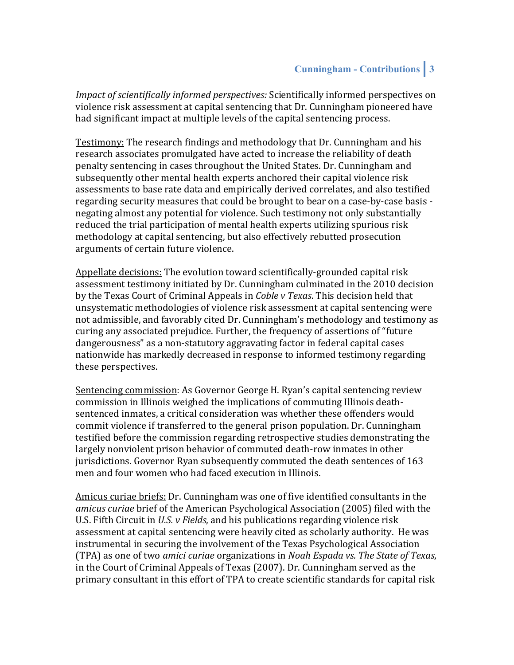*Impact of scientifically informed perspectives:* Scientifically informed perspectives on violence risk assessment at capital sentencing that Dr. Cunningham pioneered have had significant impact at multiple levels of the capital sentencing process.

Testimony: The research findings and methodology that Dr. Cunningham and his research associates promulgated have acted to increase the reliability of death penalty sentencing in cases throughout the United States. Dr. Cunningham and subsequently other mental health experts anchored their capital violence risk assessments to base rate data and empirically derived correlates, and also testified regarding security measures that could be brought to bear on a case-by-case basis negating almost any potential for violence. Such testimony not only substantially reduced the trial participation of mental health experts utilizing spurious risk methodology at capital sentencing, but also effectively rebutted prosecution arguments of certain future violence.

Appellate decisions: The evolution toward scientifically-grounded capital risk assessment testimony initiated by Dr. Cunningham culminated in the 2010 decision by the Texas Court of Criminal Appeals in *Coble v Texas*. This decision held that unsystematic methodologies of violence risk assessment at capital sentencing were not admissible, and favorably cited Dr. Cunningham's methodology and testimony as curing any associated prejudice. Further, the frequency of assertions of "future dangerousness" as a non-statutory aggravating factor in federal capital cases nationwide has markedly decreased in response to informed testimony regarding these perspectives.

Sentencing commission: As Governor George H. Ryan's capital sentencing review commission in Illinois weighed the implications of commuting Illinois deathsentenced inmates, a critical consideration was whether these offenders would commit violence if transferred to the general prison population. Dr. Cunningham testified before the commission regarding retrospective studies demonstrating the largely nonviolent prison behavior of commuted death-row inmates in other jurisdictions. Governor Ryan subsequently commuted the death sentences of 163 men and four women who had faced execution in Illinois.

Amicus curiae briefs: Dr. Cunningham was one of five identified consultants in the *amicus curiae* brief of the American Psychological Association (2005) filed with the U.S. Fifth Circuit in U.S. v Fields, and his publications regarding violence risk assessment at capital sentencing were heavily cited as scholarly authority. He was instrumental in securing the involvement of the Texas Psychological Association (TPA) as one of two *amici curiae* organizations in *Noah Espada vs. The State of Texas*, in the Court of Criminal Appeals of Texas (2007). Dr. Cunningham served as the primary consultant in this effort of TPA to create scientific standards for capital risk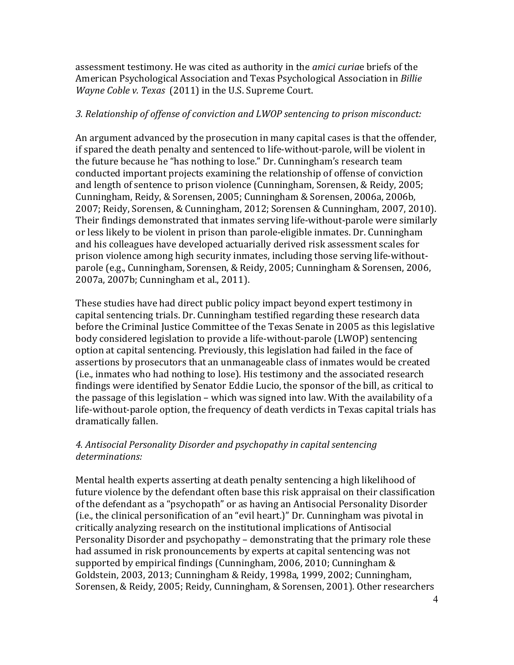assessment testimony. He was cited as authority in the *amici curiae* briefs of the American Psychological Association and Texas Psychological Association in *Billie Wayne Coble v. Texas* (2011) in the U.S. Supreme Court.

#### 3. Relationship of offense of conviction and LWOP sentencing to prison misconduct:

An argument advanced by the prosecution in many capital cases is that the offender, if spared the death penalty and sentenced to life-without-parole, will be violent in the future because he "has nothing to lose." Dr. Cunningham's research team conducted important projects examining the relationship of offense of conviction and length of sentence to prison violence (Cunningham, Sorensen, & Reidy, 2005; Cunningham, Reidy, & Sorensen, 2005; Cunningham & Sorensen, 2006a, 2006b, 2007; Reidy, Sorensen, & Cunningham, 2012; Sorensen & Cunningham, 2007, 2010). Their findings demonstrated that inmates serving life-without-parole were similarly or less likely to be violent in prison than parole-eligible inmates. Dr. Cunningham and his colleagues have developed actuarially derived risk assessment scales for prison violence among high security inmates, including those serving life-withoutparole (e.g., Cunningham, Sorensen, & Reidy, 2005; Cunningham & Sorensen, 2006, 2007a, 2007b; Cunningham et al., 2011).

These studies have had direct public policy impact beyond expert testimony in capital sentencing trials. Dr. Cunningham testified regarding these research data before the Criminal Justice Committee of the Texas Senate in 2005 as this legislative body considered legislation to provide a life-without-parole (LWOP) sentencing option at capital sentencing. Previously, this legislation had failed in the face of assertions by prosecutors that an unmanageable class of inmates would be created (i.e., inmates who had nothing to lose). His testimony and the associated research findings were identified by Senator Eddie Lucio, the sponsor of the bill, as critical to the passage of this legislation – which was signed into law. With the availability of a life-without-parole option, the frequency of death verdicts in Texas capital trials has dramatically fallen.

## 4. Antisocial Personality Disorder and psychopathy in capital sentencing *determinations:*

Mental health experts asserting at death penalty sentencing a high likelihood of future violence by the defendant often base this risk appraisal on their classification of the defendant as a "psychopath" or as having an Antisocial Personality Disorder  $(i.e., the clinical personification of an "eval heart.)" Dr. Cunningham was pivotal in$ critically analyzing research on the institutional implications of Antisocial Personality Disorder and psychopathy - demonstrating that the primary role these had assumed in risk pronouncements by experts at capital sentencing was not supported by empirical findings (Cunningham, 2006, 2010; Cunningham & Goldstein, 2003, 2013; Cunningham & Reidy, 1998a, 1999, 2002; Cunningham, Sorensen, & Reidy, 2005; Reidy, Cunningham, & Sorensen, 2001). Other researchers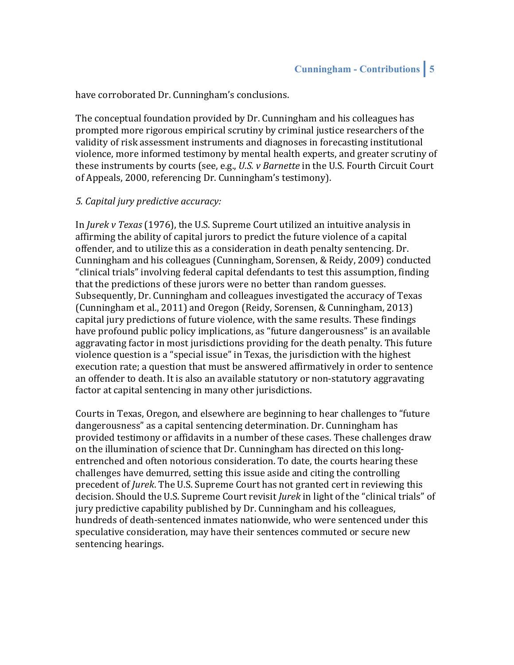have corroborated Dr. Cunningham's conclusions.

The conceptual foundation provided by Dr. Cunningham and his colleagues has prompted more rigorous empirical scrutiny by criminal justice researchers of the validity of risk assessment instruments and diagnoses in forecasting institutional violence, more informed testimony by mental health experts, and greater scrutiny of these instruments by courts (see, e.g., *U.S. v Barnette* in the U.S. Fourth Circuit Court of Appeals, 2000, referencing Dr. Cunningham's testimony).

#### *5. Capital jury predictive accuracy:*

In *Jurek v Texas* (1976), the U.S. Supreme Court utilized an intuitive analysis in affirming the ability of capital jurors to predict the future violence of a capital offender, and to utilize this as a consideration in death penalty sentencing. Dr. Cunningham and his colleagues (Cunningham, Sorensen, & Reidy, 2009) conducted "clinical trials" involving federal capital defendants to test this assumption, finding that the predictions of these jurors were no better than random guesses. Subsequently, Dr. Cunningham and colleagues investigated the accuracy of Texas (Cunningham et al., 2011) and Oregon (Reidy, Sorensen, & Cunningham, 2013) capital jury predictions of future violence, with the same results. These findings have profound public policy implications, as "future dangerousness" is an available aggravating factor in most jurisdictions providing for the death penalty. This future violence question is a "special issue" in Texas, the jurisdiction with the highest execution rate; a question that must be answered affirmatively in order to sentence an offender to death. It is also an available statutory or non-statutory aggravating factor at capital sentencing in many other jurisdictions.

Courts in Texas, Oregon, and elsewhere are beginning to hear challenges to "future" dangerousness" as a capital sentencing determination. Dr. Cunningham has provided testimony or affidavits in a number of these cases. These challenges draw on the illumination of science that Dr. Cunningham has directed on this longentrenched and often notorious consideration. To date, the courts hearing these challenges have demurred, setting this issue aside and citing the controlling precedent of *Jurek*. The U.S. Supreme Court has not granted cert in reviewing this decision. Should the U.S. Supreme Court revisit *Jurek* in light of the "clinical trials" of jury predictive capability published by Dr. Cunningham and his colleagues, hundreds of death-sentenced inmates nationwide, who were sentenced under this speculative consideration, may have their sentences commuted or secure new sentencing hearings.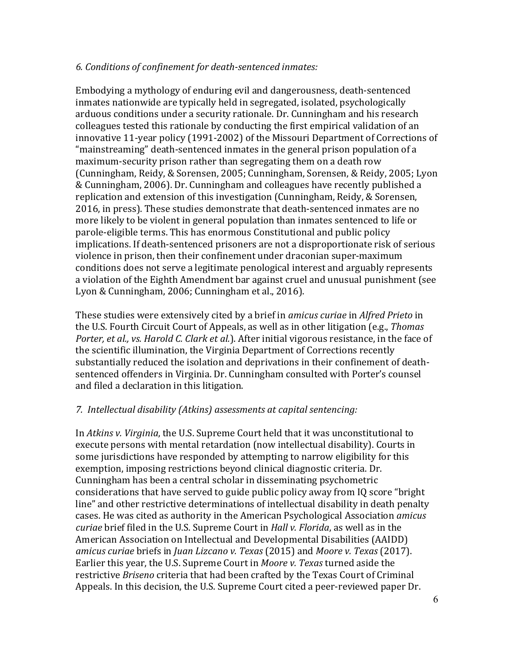#### *6. Conditions of confinement for death-sentenced inmates:*

Embodying a mythology of enduring evil and dangerousness, death-sentenced inmates nationwide are typically held in segregated, isolated, psychologically arduous conditions under a security rationale. Dr. Cunningham and his research colleagues tested this rationale by conducting the first empirical validation of an innovative 11-year policy (1991-2002) of the Missouri Department of Corrections of "mainstreaming" death-sentenced inmates in the general prison population of a maximum-security prison rather than segregating them on a death row (Cunningham, Reidy, & Sorensen, 2005; Cunningham, Sorensen, & Reidy, 2005; Lyon & Cunningham, 2006). Dr. Cunningham and colleagues have recently published a replication and extension of this investigation (Cunningham, Reidy, & Sorensen, 2016, in press). These studies demonstrate that death-sentenced inmates are no more likely to be violent in general population than inmates sentenced to life or parole-eligible terms. This has enormous Constitutional and public policy implications. If death-sentenced prisoners are not a disproportionate risk of serious violence in prison, then their confinement under draconian super-maximum conditions does not serve a legitimate penological interest and arguably represents a violation of the Eighth Amendment bar against cruel and unusual punishment (see Lyon & Cunningham, 2006; Cunningham et al., 2016).

These studies were extensively cited by a brief in *amicus curiae* in *Alfred Prieto* in the U.S. Fourth Circuit Court of Appeals, as well as in other litigation (e.g., *Thomas Porter, et al., vs. Harold C. Clark et al.*). After initial vigorous resistance, in the face of the scientific illumination, the Virginia Department of Corrections recently substantially reduced the isolation and deprivations in their confinement of deathsentenced offenders in Virginia. Dr. Cunningham consulted with Porter's counsel and filed a declaration in this litigation.

#### *7. Intellectual disability (Atkins) assessments at capital sentencing:*

In *Atkins v. Virginia*, the U.S. Supreme Court held that it was unconstitutional to execute persons with mental retardation (now intellectual disability). Courts in some jurisdictions have responded by attempting to narrow eligibility for this exemption, imposing restrictions beyond clinical diagnostic criteria. Dr. Cunningham has been a central scholar in disseminating psychometric considerations that have served to guide public policy away from IQ score "bright" line" and other restrictive determinations of intellectual disability in death penalty cases. He was cited as authority in the American Psychological Association *amicus curiae* brief filed in the U.S. Supreme Court in *Hall v. Florida*, as well as in the American Association on Intellectual and Developmental Disabilities (AAIDD) *amicus curiae* briefs in *Juan Lizcano v. Texas* (2015) and *Moore v. Texas* (2017). Earlier this year, the U.S. Supreme Court in *Moore v. Texas* turned aside the restrictive *Briseno* criteria that had been crafted by the Texas Court of Criminal Appeals. In this decision, the U.S. Supreme Court cited a peer-reviewed paper Dr.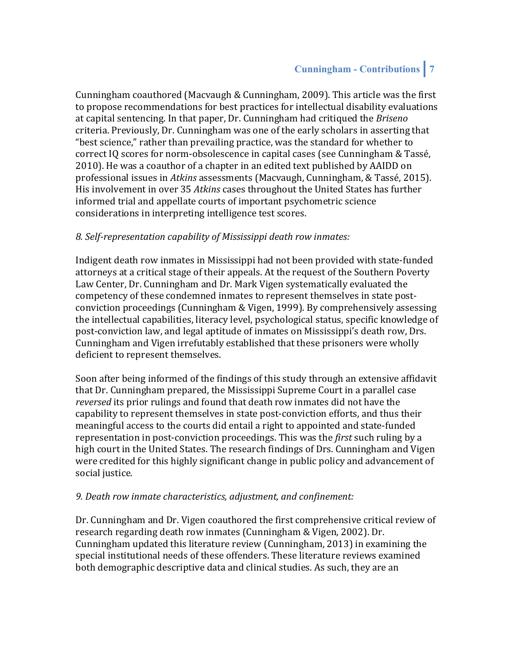Cunningham coauthored (Macvaugh & Cunningham, 2009). This article was the first to propose recommendations for best practices for intellectual disability evaluations at capital sentencing. In that paper, Dr. Cunningham had critiqued the *Briseno* criteria. Previously, Dr. Cunningham was one of the early scholars in asserting that "best science," rather than prevailing practice, was the standard for whether to correct IQ scores for norm-obsolescence in capital cases (see Cunningham & Tassé, 2010). He was a coauthor of a chapter in an edited text published by AAIDD on professional issues in *Atkins* assessments (Macvaugh, Cunningham, & Tassé, 2015). His involvement in over 35 Atkins cases throughout the United States has further informed trial and appellate courts of important psychometric science considerations in interpreting intelligence test scores.

## *8. Self-representation capability of Mississippi death row inmates:*

Indigent death row inmates in Mississippi had not been provided with state-funded attorneys at a critical stage of their appeals. At the request of the Southern Poverty Law Center, Dr. Cunningham and Dr. Mark Vigen systematically evaluated the competency of these condemned inmates to represent themselves in state postconviction proceedings (Cunningham & Vigen, 1999). By comprehensively assessing the intellectual capabilities, literacy level, psychological status, specific knowledge of post-conviction law, and legal aptitude of inmates on Mississippi's death row, Drs. Cunningham and Vigen irrefutably established that these prisoners were wholly deficient to represent themselves.

Soon after being informed of the findings of this study through an extensive affidavit that Dr. Cunningham prepared, the Mississippi Supreme Court in a parallel case *reversed* its prior rulings and found that death row inmates did not have the capability to represent themselves in state post-conviction efforts, and thus their meaningful access to the courts did entail a right to appointed and state-funded representation in post-conviction proceedings. This was the *first* such ruling by a high court in the United States. The research findings of Drs. Cunningham and Vigen were credited for this highly significant change in public policy and advancement of social justice.

#### 9. Death row inmate characteristics, adjustment, and confinement:

Dr. Cunningham and Dr. Vigen coauthored the first comprehensive critical review of research regarding death row inmates (Cunningham & Vigen, 2002). Dr. Cunningham updated this literature review (Cunningham, 2013) in examining the special institutional needs of these offenders. These literature reviews examined both demographic descriptive data and clinical studies. As such, they are an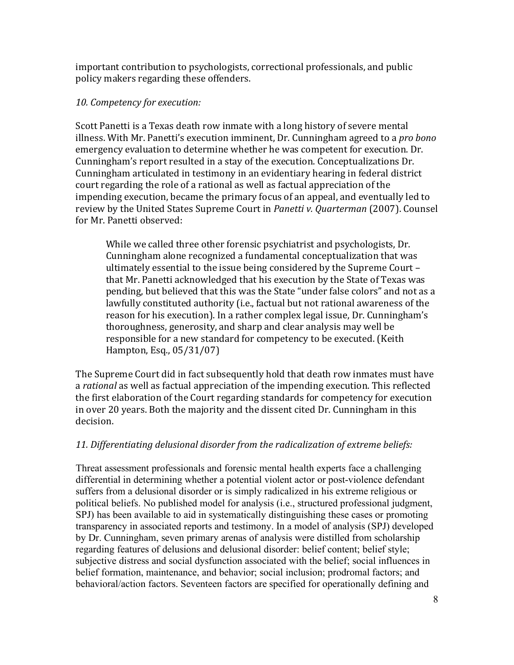important contribution to psychologists, correctional professionals, and public policy makers regarding these offenders.

#### 10. Competency for execution:

Scott Panetti is a Texas death row inmate with a long history of severe mental illness. With Mr. Panetti's execution imminent, Dr. Cunningham agreed to a *pro bono* emergency evaluation to determine whether he was competent for execution. Dr. Cunningham's report resulted in a stay of the execution. Conceptualizations Dr. Cunningham articulated in testimony in an evidentiary hearing in federal district court regarding the role of a rational as well as factual appreciation of the impending execution, became the primary focus of an appeal, and eventually led to review by the United States Supreme Court in *Panetti v. Quarterman* (2007). Counsel for Mr. Panetti observed:

While we called three other forensic psychiatrist and psychologists, Dr. Cunningham alone recognized a fundamental conceptualization that was ultimately essential to the issue being considered by the Supreme Court that Mr. Panetti acknowledged that his execution by the State of Texas was pending, but believed that this was the State "under false colors" and not as a lawfully constituted authority (i.e., factual but not rational awareness of the reason for his execution). In a rather complex legal issue, Dr. Cunningham's thoroughness, generosity, and sharp and clear analysis may well be responsible for a new standard for competency to be executed. (Keith Hampton, Esq., 05/31/07)

The Supreme Court did in fact subsequently hold that death row inmates must have a *rational* as well as factual appreciation of the impending execution. This reflected the first elaboration of the Court regarding standards for competency for execution in over 20 years. Both the majority and the dissent cited Dr. Cunningham in this decision.

#### 11. Differentiating delusional disorder from the radicalization of extreme beliefs:

Threat assessment professionals and forensic mental health experts face a challenging differential in determining whether a potential violent actor or post-violence defendant suffers from a delusional disorder or is simply radicalized in his extreme religious or political beliefs. No published model for analysis (i.e., structured professional judgment, SPJ) has been available to aid in systematically distinguishing these cases or promoting transparency in associated reports and testimony. In a model of analysis (SPJ) developed by Dr. Cunningham, seven primary arenas of analysis were distilled from scholarship regarding features of delusions and delusional disorder: belief content; belief style; subjective distress and social dysfunction associated with the belief; social influences in belief formation, maintenance, and behavior; social inclusion; prodromal factors; and behavioral/action factors. Seventeen factors are specified for operationally defining and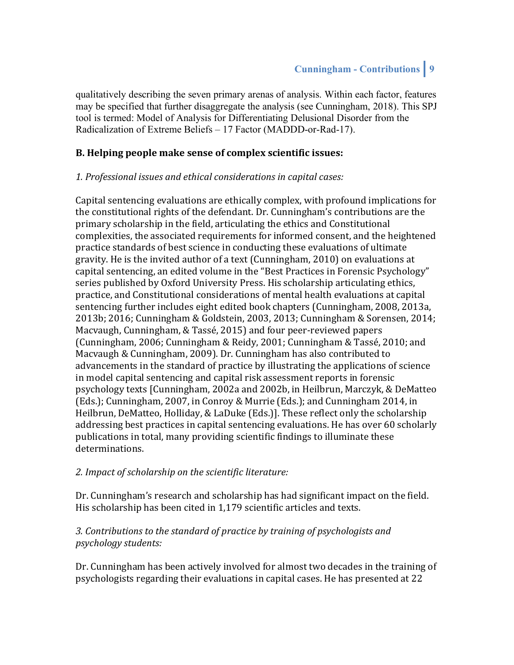qualitatively describing the seven primary arenas of analysis. Within each factor, features may be specified that further disaggregate the analysis (see Cunningham, 2018). This SPJ tool is termed: Model of Analysis for Differentiating Delusional Disorder from the Radicalization of Extreme Beliefs – 17 Factor (MADDD-or-Rad-17).

### **B. Helping people make sense of complex scientific issues:**

#### 1. Professional issues and ethical considerations in capital cases:

Capital sentencing evaluations are ethically complex, with profound implications for the constitutional rights of the defendant. Dr. Cunningham's contributions are the primary scholarship in the field, articulating the ethics and Constitutional complexities, the associated requirements for informed consent, and the heightened practice standards of best science in conducting these evaluations of ultimate gravity. He is the invited author of a text (Cunningham, 2010) on evaluations at capital sentencing, an edited volume in the "Best Practices in Forensic Psychology" series published by Oxford University Press. His scholarship articulating ethics, practice, and Constitutional considerations of mental health evaluations at capital sentencing further includes eight edited book chapters (Cunningham, 2008, 2013a, 2013b; 2016; Cunningham & Goldstein, 2003, 2013; Cunningham & Sorensen, 2014; Macvaugh, Cunningham, & Tassé, 2015) and four peer-reviewed papers (Cunningham, 2006; Cunningham & Reidy, 2001; Cunningham & Tassé, 2010; and Macvaugh & Cunningham, 2009). Dr. Cunningham has also contributed to advancements in the standard of practice by illustrating the applications of science in model capital sentencing and capital risk assessment reports in forensic psychology texts [Cunningham, 2002a and 2002b, in Heilbrun, Marczyk, & DeMatteo (Eds.); Cunningham, 2007, in Conroy & Murrie (Eds.); and Cunningham 2014, in Heilbrun, DeMatteo, Holliday, & LaDuke (Eds.)]. These reflect only the scholarship addressing best practices in capital sentencing evaluations. He has over 60 scholarly publications in total, many providing scientific findings to illuminate these determinations.

#### 2. Impact of scholarship on the scientific literature:

Dr. Cunningham's research and scholarship has had significant impact on the field. His scholarship has been cited in 1,179 scientific articles and texts.

## 3. Contributions to the standard of practice by training of psychologists and *psychology students:*

Dr. Cunningham has been actively involved for almost two decades in the training of psychologists regarding their evaluations in capital cases. He has presented at 22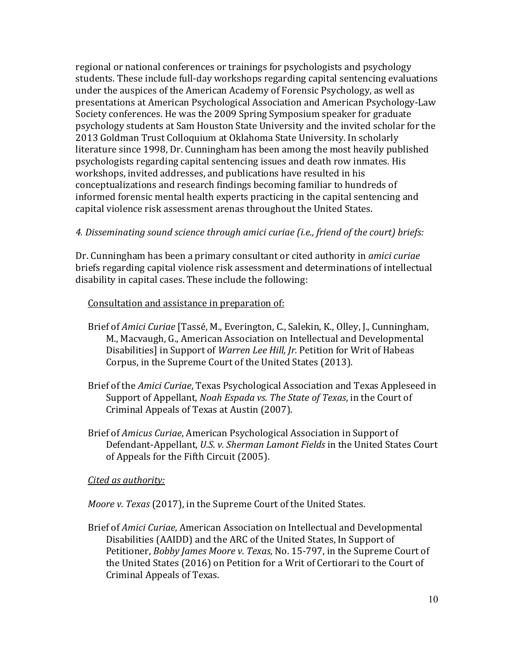regional or national conferences or trainings for psychologists and psychology students. These include full-day workshops regarding capital sentencing evaluations under the auspices of the American Academy of Forensic Psychology, as well as presentations at American Psychological Association and American Psychology-Law Society conferences. He was the 2009 Spring Symposium speaker for graduate psychology students at Sam Houston State University and the invited scholar for the 2013 Goldman Trust Colloquium at Oklahoma State University. In scholarly literature since 1998, Dr. Cunningham has been among the most heavily published psychologists regarding capital sentencing issues and death row inmates. His workshops, invited addresses, and publications have resulted in his conceptualizations and research findings becoming familiar to hundreds of informed forensic mental health experts practicing in the capital sentencing and capital violence risk assessment arenas throughout the United States.

#### *4. Disseminating sound science through amici curiae (i.e., friend of the court) briefs:*

Dr. Cunningham has been a primary consultant or cited authority in *amici curiae* briefs regarding capital violence risk assessment and determinations of intellectual disability in capital cases. These include the following:

#### Consultation and assistance in preparation of:

- Brief of *Amici Curiae* [Tassé, M., Everington, C., Salekin, K., Olley, J., Cunningham, M., Macvaugh, G., American Association on Intellectual and Developmental Disabilities] in Support of *Warren Lee Hill, Jr.* Petition for Writ of Habeas Corpus, in the Supreme Court of the United States (2013).
- Brief of the *Amici Curiae*, Texas Psychological Association and Texas Appleseed in Support of Appellant, *Noah Espada vs. The State of Texas*, in the Court of Criminal Appeals of Texas at Austin (2007).
- Brief of *Amicus Curiae*, American Psychological Association in Support of Defendant-Appellant, *U.S. v. Sherman Lamont Fields* in the United States Court of Appeals for the Fifth Circuit (2005).

#### *Cited as authority:*

*Moore v. Texas* (2017), in the Supreme Court of the United States.

Brief of *Amici Curiae*, American Association on Intellectual and Developmental Disabilities (AAIDD) and the ARC of the United States, In Support of Petitioner, *Bobby James Moore v. Texas*, No. 15-797, in the Supreme Court of the United States (2016) on Petition for a Writ of Certiorari to the Court of Criminal Appeals of Texas.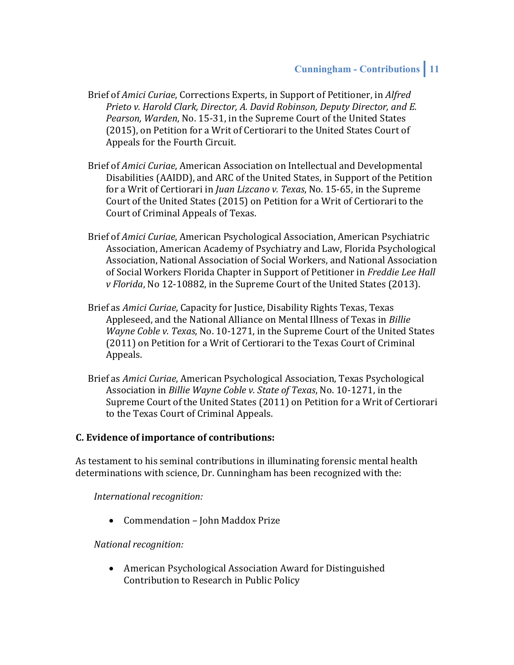- Brief of *Amici Curiae*, Corrections Experts, in Support of Petitioner, in *Alfred Prieto v. Harold Clark, Director, A. David Robinson, Deputy Director, and E.* Pearson, Warden, No. 15-31, in the Supreme Court of the United States (2015), on Petition for a Writ of Certiorari to the United States Court of Appeals for the Fourth Circuit.
- Brief of *Amici Curiae*, American Association on Intellectual and Developmental Disabilities (AAIDD), and ARC of the United States, in Support of the Petition for a Writ of Certiorari in *Juan Lizcano v. Texas*, No. 15-65, in the Supreme Court of the United States (2015) on Petition for a Writ of Certiorari to the Court of Criminal Appeals of Texas.
- Brief of *Amici Curiae*, American Psychological Association, American Psychiatric Association, American Academy of Psychiatry and Law, Florida Psychological Association, National Association of Social Workers, and National Association of Social Workers Florida Chapter in Support of Petitioner in Freddie Lee Hall *v* Florida, No 12-10882, in the Supreme Court of the United States (2013).
- Brief as *Amici Curiae*, Capacity for Justice, Disability Rights Texas, Texas Appleseed, and the National Alliance on Mental Illness of Texas in *Billie Wayne Coble v. Texas, No.* 10-1271, in the Supreme Court of the United States (2011) on Petition for a Writ of Certiorari to the Texas Court of Criminal Appeals.
- Brief as *Amici Curiae*, American Psychological Association, Texas Psychological Association in *Billie Wayne Coble v. State of Texas*, No. 10-1271, in the Supreme Court of the United States (2011) on Petition for a Writ of Certiorari to the Texas Court of Criminal Appeals.

#### **C.** Evidence of importance of contributions:

As testament to his seminal contributions in illuminating forensic mental health determinations with science, Dr. Cunningham has been recognized with the:

*International recognition:*

• Commendation – John Maddox Prize

#### *National recognition:*

• American Psychological Association Award for Distinguished Contribution to Research in Public Policy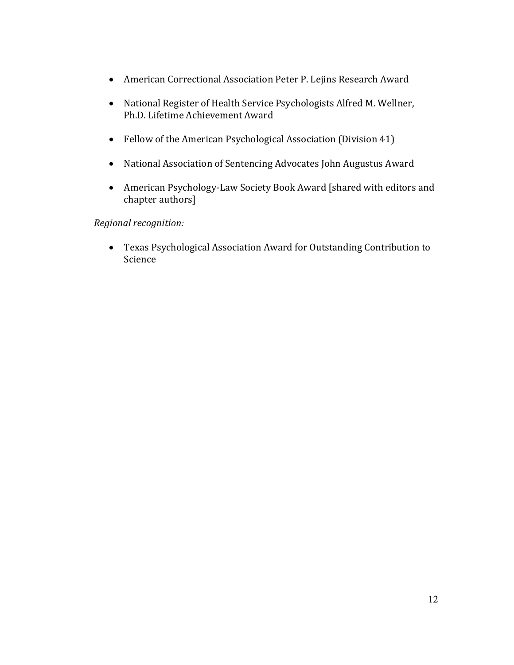- American Correctional Association Peter P. Lejins Research Award
- National Register of Health Service Psychologists Alfred M. Wellner, Ph.D. Lifetime Achievement Award
- Fellow of the American Psychological Association (Division 41)
- National Association of Sentencing Advocates John Augustus Award
- American Psychology-Law Society Book Award [shared with editors and chapter authors]

## *Regional recognition:*

• Texas Psychological Association Award for Outstanding Contribution to Science